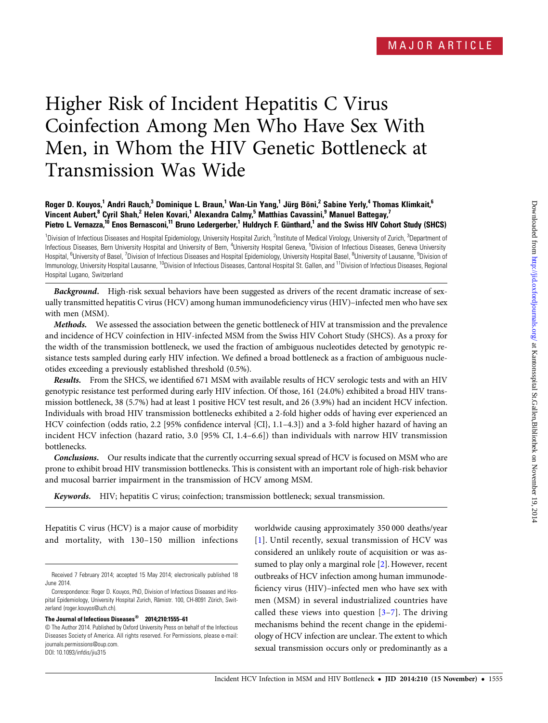# Higher Risk of Incident Hepatitis C Virus Coinfection Among Men Who Have Sex With Men, in Whom the HIV Genetic Bottleneck at Transmission Was Wide

# Roger D. Kouyos,<sup>1</sup> Andri Rauch,<sup>3</sup> Dominique L. Braun,<sup>1</sup> Wan-Lin Yang,<sup>1</sup> Jürg Böni,<sup>2</sup> Sabine Yerly,<sup>4</sup> Thomas Klimkait,<sup>6</sup> Vincent Aubert,<sup>8</sup> Cyril Shah,<sup>2</sup> Helen Kovari,<sup>1</sup> Alexandra Calmy,<sup>5</sup> Matthias Cavassini,<sup>9</sup> Manuel Battegay,<sup>7</sup> Pietro L. Vernazza,<sup>10</sup> Enos Bernasconi,<sup>11</sup> Bruno Ledergerber,<sup>1</sup> Huldrych F. Günthard,<sup>1</sup> and the Swiss HIV Cohort Study (SHCS)

<sup>1</sup> Division of Infectious Diseases and Hospital Epidemiology, University Hospital Zurich, <sup>2</sup>Institute of Medical Virology, University of Zurich, <sup>3</sup>Department of Infectious Diseases, Bern University Hospital and University of Bern, <sup>4</sup>University Hospital Geneva, <sup>5</sup>Division of Infectious Diseases, Geneva University Hospital, <sup>6</sup>University of Basel, <sup>7</sup>Division of Infectious Diseases and Hospital Epidemiology, University Hospital Basel, <sup>8</sup>University of Lausanne, <sup>9</sup>Division of Immunology, University Hospital Lausanne, <sup>10</sup>Division of Infectious Diseases, Cantonal Hospital St. Gallen, and <sup>11</sup>Division of Infectious Diseases, Regional Hospital Lugano, Switzerland

Background. High-risk sexual behaviors have been suggested as drivers of the recent dramatic increase of sexually transmitted hepatitis C virus (HCV) among human immunodeficiency virus (HIV)–infected men who have sex with men (MSM).

Methods. We assessed the association between the genetic bottleneck of HIV at transmission and the prevalence and incidence of HCV coinfection in HIV-infected MSM from the Swiss HIV Cohort Study (SHCS). As a proxy for the width of the transmission bottleneck, we used the fraction of ambiguous nucleotides detected by genotypic resistance tests sampled during early HIV infection. We defined a broad bottleneck as a fraction of ambiguous nucleotides exceeding a previously established threshold (0.5%).

Results. From the SHCS, we identified 671 MSM with available results of HCV serologic tests and with an HIV genotypic resistance test performed during early HIV infection. Of those, 161 (24.0%) exhibited a broad HIV transmission bottleneck, 38 (5.7%) had at least 1 positive HCV test result, and 26 (3.9%) had an incident HCV infection. Individuals with broad HIV transmission bottlenecks exhibited a 2-fold higher odds of having ever experienced an HCV coinfection (odds ratio, 2.2 [95% confidence interval {CI}, 1.1–4.3]) and a 3-fold higher hazard of having an incident HCV infection (hazard ratio, 3.0 [95% CI, 1.4–6.6]) than individuals with narrow HIV transmission bottlenecks.

Conclusions. Our results indicate that the currently occurring sexual spread of HCV is focused on MSM who are prone to exhibit broad HIV transmission bottlenecks. This is consistent with an important role of high-risk behavior and mucosal barrier impairment in the transmission of HCV among MSM.

Keywords. HIV; hepatitis C virus; coinfection; transmission bottleneck; sexual transmission.

Hepatitis C virus (HCV) is a major cause of morbidity and mortality, with 130–150 million infections

The Journal of Infectious Diseases® 2014;210:1555–61

worldwide causing approximately 350 000 deaths/year [\[1](#page-5-0)]. Until recently, sexual transmission of HCV was considered an unlikely route of acquisition or was assumed to play only a marginal role [\[2\]](#page-5-0). However, recent outbreaks of HCV infection among human immunodeficiency virus (HIV)–infected men who have sex with men (MSM) in several industrialized countries have called these views into question  $[3-7]$  $[3-7]$  $[3-7]$  $[3-7]$  $[3-7]$ . The driving mechanisms behind the recent change in the epidemiology of HCV infection are unclear. The extent to which sexual transmission occurs only or predominantly as a

Received 7 February 2014; accepted 15 May 2014; electronically published 18 June 2014.

Correspondence: Roger D. Kouyos, PhD, Division of Infectious Diseases and Hospital Epidemiology, University Hospital Zurich, Rämistr. 100, CH-8091 Zürich, Switzerland ([roger.kouyos@uzh.ch](mailto:roger.kouyos@uzh.ch)).

<sup>©</sup> The Author 2014. Published by Oxford University Press on behalf of the Infectious Diseases Society of America. All rights reserved. For Permissions, please e-mail: [journals.permissions@oup.com](mailto:journals.permissions@oup.com). DOI: 10.1093/infdis/jiu315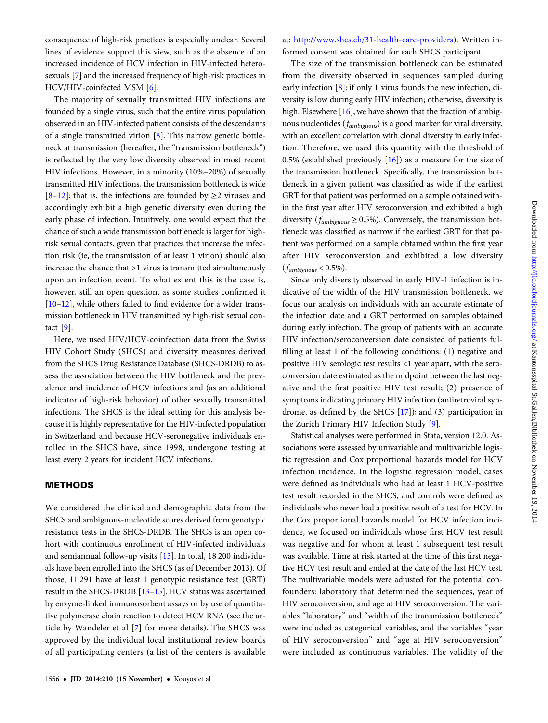consequence of high-risk practices is especially unclear. Several lines of evidence support this view, such as the absence of an increased incidence of HCV infection in HIV-infected heterosexuals [\[7\]](#page-6-0) and the increased frequency of high-risk practices in HCV/HIV-coinfected MSM [[6](#page-6-0)].

The majority of sexually transmitted HIV infections are founded by a single virus, such that the entire virus population observed in an HIV-infected patient consists of the descendants of a single transmitted virion [\[8\]](#page-6-0). This narrow genetic bottleneck at transmission (hereafter, the "transmission bottleneck") is reflected by the very low diversity observed in most recent HIV infections. However, in a minority (10%–20%) of sexually transmitted HIV infections, the transmission bottleneck is wide  $[8-12]$  $[8-12]$  $[8-12]$  $[8-12]$ ; that is, the infections are founded by  $\geq 2$  viruses and accordingly exhibit a high genetic diversity even during the early phase of infection. Intuitively, one would expect that the chance of such a wide transmission bottleneck is larger for highrisk sexual contacts, given that practices that increase the infection risk (ie, the transmission of at least 1 virion) should also increase the chance that >1 virus is transmitted simultaneously upon an infection event. To what extent this is the case is, however, still an open question, as some studies confirmed it [\[10](#page-6-0)–[12](#page-6-0)], while others failed to find evidence for a wider transmission bottleneck in HIV transmitted by high-risk sexual contact [\[9\]](#page-6-0).

Here, we used HIV/HCV-coinfection data from the Swiss HIV Cohort Study (SHCS) and diversity measures derived from the SHCS Drug Resistance Database (SHCS-DRDB) to assess the association between the HIV bottleneck and the prevalence and incidence of HCV infections and (as an additional indicator of high-risk behavior) of other sexually transmitted infections. The SHCS is the ideal setting for this analysis because it is highly representative for the HIV-infected population in Switzerland and because HCV-seronegative individuals enrolled in the SHCS have, since 1998, undergone testing at least every 2 years for incident HCV infections.

#### METHODS

We considered the clinical and demographic data from the SHCS and ambiguous-nucleotide scores derived from genotypic resistance tests in the SHCS-DRDB. The SHCS is an open cohort with continuous enrollment of HIV-infected individuals and semiannual follow-up visits [\[13](#page-6-0)]. In total, 18 200 individuals have been enrolled into the SHCS (as of December 2013). Of those, 11 291 have at least 1 genotypic resistance test (GRT) result in the SHCS-DRDB [[13](#page-6-0)–[15](#page-6-0)]. HCV status was ascertained by enzyme-linked immunosorbent assays or by use of quantitative polymerase chain reaction to detect HCV RNA (see the article by Wandeler et al [[7](#page-6-0)] for more details). The SHCS was approved by the individual local institutional review boards of all participating centers (a list of the centers is available at: <http://www.shcs.ch/31-health-care-providers>). Written informed consent was obtained for each SHCS participant.

The size of the transmission bottleneck can be estimated from the diversity observed in sequences sampled during early infection [[8](#page-6-0)]: if only 1 virus founds the new infection, diversity is low during early HIV infection; otherwise, diversity is high. Elsewhere [\[16\]](#page-6-0), we have shown that the fraction of ambiguous nucleotides ( $f_{ambiguous}$ ) is a good marker for viral diversity, with an excellent correlation with clonal diversity in early infection. Therefore, we used this quantity with the threshold of 0.5% (established previously  $[16]$  $[16]$ ) as a measure for the size of the transmission bottleneck. Specifically, the transmission bottleneck in a given patient was classified as wide if the earliest GRT for that patient was performed on a sample obtained within the first year after HIV seroconversion and exhibited a high diversity ( $f_{ambiguous} \ge 0.5\%$ ). Conversely, the transmission bottleneck was classified as narrow if the earliest GRT for that patient was performed on a sample obtained within the first year after HIV seroconversion and exhibited a low diversity  $(f_{ambiguous} < 0.5\%).$ 

Since only diversity observed in early HIV-1 infection is indicative of the width of the HIV transmission bottleneck, we focus our analysis on individuals with an accurate estimate of the infection date and a GRT performed on samples obtained during early infection. The group of patients with an accurate HIV infection/seroconversion date consisted of patients fulfilling at least 1 of the following conditions: (1) negative and positive HIV serologic test results <1 year apart, with the seroconversion date estimated as the midpoint between the last negative and the first positive HIV test result; (2) presence of symptoms indicating primary HIV infection (antiretroviral syndrome, as defined by the SHCS [[17\]](#page-6-0)); and (3) participation in the Zurich Primary HIV Infection Study [[9](#page-6-0)].

Statistical analyses were performed in Stata, version 12.0. Associations were assessed by univariable and multivariable logistic regression and Cox proportional hazards model for HCV infection incidence. In the logistic regression model, cases were defined as individuals who had at least 1 HCV-positive test result recorded in the SHCS, and controls were defined as individuals who never had a positive result of a test for HCV. In the Cox proportional hazards model for HCV infection incidence, we focused on individuals whose first HCV test result was negative and for whom at least 1 subsequent test result was available. Time at risk started at the time of this first negative HCV test result and ended at the date of the last HCV test. The multivariable models were adjusted for the potential confounders: laboratory that determined the sequences, year of HIV seroconversion, and age at HIV seroconversion. The variables "laboratory" and "width of the transmission bottleneck" were included as categorical variables, and the variables "year of HIV seroconversion" and "age at HIV seroconversion" were included as continuous variables. The validity of the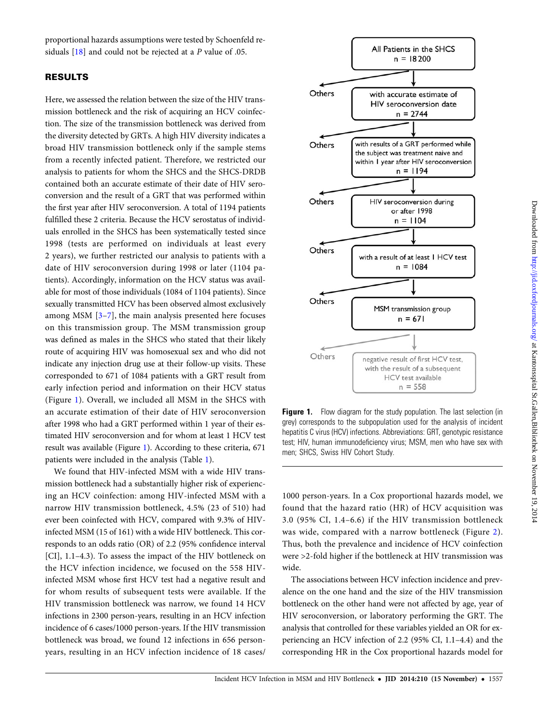Downloaded from http://jid.oxfordjournals.org/ at Kantonsspital St.Gallen,Bibliothek on November 19, 2014 Downloaded from <http://jid.oxfordjournals.org/> at Kantonsspital St.Gallen,Bibliothek on November 19, 2014

<span id="page-2-0"></span>proportional hazards assumptions were tested by Schoenfeld residuals [[18](#page-6-0)] and could not be rejected at a P value of .05.

## RESULTS

Here, we assessed the relation between the size of the HIV transmission bottleneck and the risk of acquiring an HCV coinfection. The size of the transmission bottleneck was derived from the diversity detected by GRTs. A high HIV diversity indicates a broad HIV transmission bottleneck only if the sample stems from a recently infected patient. Therefore, we restricted our analysis to patients for whom the SHCS and the SHCS-DRDB contained both an accurate estimate of their date of HIV seroconversion and the result of a GRT that was performed within the first year after HIV seroconversion. A total of 1194 patients fulfilled these 2 criteria. Because the HCV serostatus of individuals enrolled in the SHCS has been systematically tested since 1998 (tests are performed on individuals at least every 2 years), we further restricted our analysis to patients with a date of HIV seroconversion during 1998 or later (1104 patients). Accordingly, information on the HCV status was available for most of those individuals (1084 of 1104 patients). Since sexually transmitted HCV has been observed almost exclusively among MSM [[3](#page-6-0)–[7\]](#page-6-0), the main analysis presented here focuses on this transmission group. The MSM transmission group was defined as males in the SHCS who stated that their likely route of acquiring HIV was homosexual sex and who did not indicate any injection drug use at their follow-up visits. These corresponded to 671 of 1084 patients with a GRT result from early infection period and information on their HCV status (Figure 1). Overall, we included all MSM in the SHCS with an accurate estimation of their date of HIV seroconversion after 1998 who had a GRT performed within 1 year of their estimated HIV seroconversion and for whom at least 1 HCV test result was available (Figure 1). According to these criteria, 671 patients were included in the analysis (Table [1\)](#page-3-0).

We found that HIV-infected MSM with a wide HIV transmission bottleneck had a substantially higher risk of experiencing an HCV coinfection: among HIV-infected MSM with a narrow HIV transmission bottleneck, 4.5% (23 of 510) had ever been coinfected with HCV, compared with 9.3% of HIVinfected MSM (15 of 161) with a wide HIV bottleneck. This corresponds to an odds ratio (OR) of 2.2 (95% confidence interval [CI], 1.1–4.3). To assess the impact of the HIV bottleneck on the HCV infection incidence, we focused on the 558 HIVinfected MSM whose first HCV test had a negative result and for whom results of subsequent tests were available. If the HIV transmission bottleneck was narrow, we found 14 HCV infections in 2300 person-years, resulting in an HCV infection incidence of 6 cases/1000 person-years. If the HIV transmission bottleneck was broad, we found 12 infections in 656 personyears, resulting in an HCV infection incidence of 18 cases/



**Figure 1.** Flow diagram for the study population. The last selection (in grey) corresponds to the subpopulation used for the analysis of incident hepatitis C virus (HCV) infections. Abbreviations: GRT, genotypic resistance test; HIV, human immunodeficiency virus; MSM, men who have sex with men; SHCS, Swiss HIV Cohort Study.

1000 person-years. In a Cox proportional hazards model, we found that the hazard ratio (HR) of HCV acquisition was 3.0 (95% CI, 1.4–6.6) if the HIV transmission bottleneck was wide, compared with a narrow bottleneck (Figure [2](#page-3-0)). Thus, both the prevalence and incidence of HCV coinfection were >2-fold higher if the bottleneck at HIV transmission was wide.

The associations between HCV infection incidence and prevalence on the one hand and the size of the HIV transmission bottleneck on the other hand were not affected by age, year of HIV seroconversion, or laboratory performing the GRT. The analysis that controlled for these variables yielded an OR for experiencing an HCV infection of 2.2 (95% CI, 1.1–4.4) and the corresponding HR in the Cox proportional hazards model for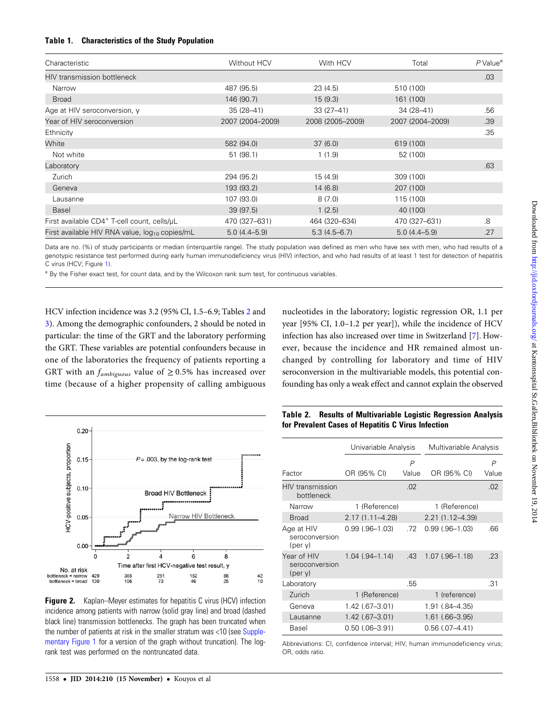#### <span id="page-3-0"></span>Table 1. Characteristics of the Study Population

| Characteristic                                             | Without HCV      | With HCV         | Total            |     |
|------------------------------------------------------------|------------------|------------------|------------------|-----|
| HIV transmission bottleneck                                |                  |                  |                  | .03 |
| Narrow                                                     | 487 (95.5)       | 23(4.5)          | 510 (100)        |     |
| <b>Broad</b>                                               | 146 (90.7)       | 15(9.3)          | 161 (100)        |     |
| Age at HIV seroconversion, y                               | $35(28-41)$      | $33(27-41)$      | 34 (28–41)       | .56 |
| Year of HIV seroconversion                                 | 2007 (2004-2009) | 2008 (2005-2009) | 2007 (2004-2009) | .39 |
| Ethnicity                                                  |                  |                  |                  | .35 |
| White                                                      | 582 (94.0)       | 37(6.0)          | 619 (100)        |     |
| Not white                                                  | 51 (98.1)        | 1(1.9)           | 52 (100)         |     |
| Laboratory                                                 |                  |                  |                  | .63 |
| Zurich                                                     | 294 (95.2)       | 15(4.9)          | 309 (100)        |     |
| Geneva                                                     | 193 (93.2)       | 14(6.8)          | 207 (100)        |     |
| Lausanne                                                   | 107 (93.0)       | 8(7.0)           | 115 (100)        |     |
| Basel                                                      | 39(97.5)         | 1(2.5)           | 40 (100)         |     |
| First available CD4 <sup>+</sup> T-cell count, cells/uL    | 470 (327–631)    | 464 (320-634)    | 470 (327-631)    | .8  |
| First available HIV RNA value, log <sub>10</sub> copies/mL | $5.0(4.4 - 5.9)$ | $5.3(4.5 - 6.7)$ | $5.0(4.4 - 5.9)$ | .27 |

Data are no. (%) of study participants or median (interquartile range). The study population was defined as men who have sex with men, who had results of a genotypic resistance test performed during early human immunodeficiency virus (HIV) infection, and who had results of at least 1 test for detection of hepatitis C virus (HCV; Figure [1](#page-2-0)).

<sup>a</sup> By the Fisher exact test, for count data, and by the Wilcoxon rank sum test, for continuous variables.

HCV infection incidence was 3.2 (95% CI, 1.5–6.9; Tables 2 and [3](#page-4-0)). Among the demographic confounders, 2 should be noted in particular: the time of the GRT and the laboratory performing the GRT. These variables are potential confounders because in one of the laboratories the frequency of patients reporting a GRT with an  $f_{ambiguous}$  value of  $\geq$  0.5% has increased over time (because of a higher propensity of calling ambiguous



**Figure 2.** Kaplan–Meyer estimates for hepatitis C virus (HCV) infection incidence among patients with narrow (solid gray line) and broad (dashed black line) transmission bottlenecks. The graph has been truncated when the number of patients at risk in the smaller stratum was <10 (see [Supple](http://jid.oxfordjournals.org/lookup/suppl/doi:10.1093/infdis/jiu315/-/DC1)[mentary Figure 1](http://jid.oxfordjournals.org/lookup/suppl/doi:10.1093/infdis/jiu315/-/DC1) for a version of the graph without truncation). The logrank test was performed on the nontruncated data.

nucleotides in the laboratory; logistic regression OR, 1.1 per year [95% CI, 1.0–1.2 per year]), while the incidence of HCV infection has also increased over time in Switzerland [[7](#page-6-0)]. However, because the incidence and HR remained almost unchanged by controlling for laboratory and time of HIV seroconversion in the multivariable models, this potential confounding has only a weak effect and cannot explain the observed

# Table 2. Results of Multivariable Logistic Regression Analysis for Prevalent Cases of Hepatitis C Virus Infection

|                                                  | Univariable Analysis  |            | Multivariable Analysis |            |
|--------------------------------------------------|-----------------------|------------|------------------------|------------|
| Factor                                           | OR (95% CI)           | P<br>Value | OR (95% CI)            | P<br>Value |
| HIV transmission<br>bottleneck                   |                       | .02        |                        | .02        |
| Narrow                                           | 1 (Reference)         |            | 1 (Reference)          |            |
| <b>Broad</b>                                     | $2.17(1.11 - 4.28)$   |            | $2.21(1.12 - 4.39)$    |            |
| Age at HIV<br>seroconversion<br>(perV)           | $0.99(.96 - 1.03)$    | .72        | $0.99$ (.96-1.03)      | .66        |
| Year of HIV<br>seroconversion<br>(per <i>y</i> ) | $1.04$ $(.94 - 1.14)$ | .43        | $1.07$ $(.96 - 1.18)$  | .23        |
| Laboratory                                       |                       | .55        |                        | .31        |
| Zurich                                           | 1 (Reference)         |            | 1 (reference)          |            |
| Geneva                                           | 1.42 (.67-3.01)       |            | 1.91 (.84–4.35)        |            |
| Lausanne                                         | $1.42$ (.67-3.01)     |            | $1.61(.66 - 3.95)$     |            |
| Basel                                            | $0.50$ (.06-3.91)     |            | $0.56$ $(.07 - 4.41)$  |            |

Abbreviations: CI, confidence interval; HIV, human immunodeficiency virus; OR, odds ratio.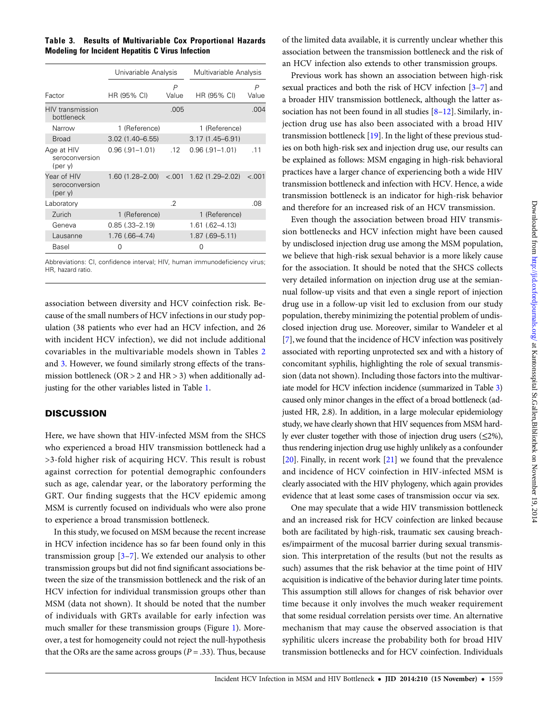<span id="page-4-0"></span>Table 3. Results of Multivariable Cox Proportional Hazards Modeling for Incident Hepatitis C Virus Infection

|                                                  | Univariable Analysis |               | Multivariable Analysis |            |
|--------------------------------------------------|----------------------|---------------|------------------------|------------|
| Factor                                           | HR (95% CI)          | P<br>Value    | HR (95% CI)            | P<br>Value |
| HIV transmission<br>bottleneck                   |                      | .005          |                        | .004       |
| Narrow                                           | 1 (Reference)        |               | 1 (Reference)          |            |
| <b>Broad</b>                                     | $3.02(1.40 - 6.55)$  |               | $3.17(1.45 - 6.91)$    |            |
| Age at HIV<br>seroconversion<br>(per <i>y</i> )  | $0.96(.91 - 1.01)$   | .12           | $0.96(.91 - 1.01)$     | .11        |
| Year of HIV<br>seroconversion<br>(per <i>y</i> ) | 1.60 (1.28-2.00)     | < .001        | 1.62 (1.29 - 2.02)     | $-.001$    |
| Laboratory                                       |                      | $\mathcal{P}$ |                        | .08        |
| Zurich                                           | 1 (Reference)        |               | 1 (Reference)          |            |
| Geneva                                           | $0.85(.33 - 2.19)$   |               | 1.61 (.62-4.13)        |            |
| Lausanne                                         | 1.76 (.66-4.74)      |               | $1.87(.69 - 5.11)$     |            |
| Basel                                            | O                    |               | 0                      |            |

Abbreviations: CI, confidence interval; HIV, human immunodeficiency virus; HR, hazard ratio.

association between diversity and HCV coinfection risk. Because of the small numbers of HCV infections in our study population (38 patients who ever had an HCV infection, and 26 with incident HCV infection), we did not include additional covariables in the multivariable models shown in Tables [2](#page-3-0) and 3. However, we found similarly strong effects of the transmission bottleneck ( $OR > 2$  and  $HR > 3$ ) when additionally adjusting for the other variables listed in Table [1](#page-3-0).

# **DISCUSSION**

Here, we have shown that HIV-infected MSM from the SHCS who experienced a broad HIV transmission bottleneck had a >3-fold higher risk of acquiring HCV. This result is robust against correction for potential demographic confounders such as age, calendar year, or the laboratory performing the GRT. Our finding suggests that the HCV epidemic among MSM is currently focused on individuals who were also prone to experience a broad transmission bottleneck.

In this study, we focused on MSM because the recent increase in HCV infection incidence has so far been found only in this transmission group [[3](#page-6-0)–[7](#page-6-0)]. We extended our analysis to other transmission groups but did not find significant associations between the size of the transmission bottleneck and the risk of an HCV infection for individual transmission groups other than MSM (data not shown). It should be noted that the number of individuals with GRTs available for early infection was much smaller for these transmission groups (Figure [1\)](#page-2-0). Moreover, a test for homogeneity could not reject the null-hypothesis that the ORs are the same across groups ( $P = .33$ ). Thus, because of the limited data available, it is currently unclear whether this association between the transmission bottleneck and the risk of an HCV infection also extends to other transmission groups.

Previous work has shown an association between high-risk sexual practices and both the risk of HCV infection [\[3](#page-6-0)–[7](#page-6-0)] and a broader HIV transmission bottleneck, although the latter association has not been found in all studies [\[8](#page-6-0)–[12\]](#page-6-0). Similarly, injection drug use has also been associated with a broad HIV transmission bottleneck [[19](#page-6-0)]. In the light of these previous studies on both high-risk sex and injection drug use, our results can be explained as follows: MSM engaging in high-risk behavioral practices have a larger chance of experiencing both a wide HIV transmission bottleneck and infection with HCV. Hence, a wide transmission bottleneck is an indicator for high-risk behavior and therefore for an increased risk of an HCV transmission.

Even though the association between broad HIV transmission bottlenecks and HCV infection might have been caused by undisclosed injection drug use among the MSM population, we believe that high-risk sexual behavior is a more likely cause for the association. It should be noted that the SHCS collects very detailed information on injection drug use at the semiannual follow-up visits and that even a single report of injection drug use in a follow-up visit led to exclusion from our study population, thereby minimizing the potential problem of undisclosed injection drug use. Moreover, similar to Wandeler et al [\[7\]](#page-6-0), we found that the incidence of HCV infection was positively associated with reporting unprotected sex and with a history of concomitant syphilis, highlighting the role of sexual transmission (data not shown). Including those factors into the multivariate model for HCV infection incidence (summarized in Table 3) caused only minor changes in the effect of a broad bottleneck (adjusted HR, 2.8). In addition, in a large molecular epidemiology study, we have clearly shown that HIV sequences from MSM hardly ever cluster together with those of injection drug users  $(\leq 2\%)$ , thus rendering injection drug use highly unlikely as a confounder [\[20](#page-6-0)]. Finally, in recent work [[21\]](#page-6-0) we found that the prevalence and incidence of HCV coinfection in HIV-infected MSM is clearly associated with the HIV phylogeny, which again provides evidence that at least some cases of transmission occur via sex.

One may speculate that a wide HIV transmission bottleneck and an increased risk for HCV coinfection are linked because both are facilitated by high-risk, traumatic sex causing breaches/impairment of the mucosal barrier during sexual transmission. This interpretation of the results (but not the results as such) assumes that the risk behavior at the time point of HIV acquisition is indicative of the behavior during later time points. This assumption still allows for changes of risk behavior over time because it only involves the much weaker requirement that some residual correlation persists over time. An alternative mechanism that may cause the observed association is that syphilitic ulcers increase the probability both for broad HIV transmission bottlenecks and for HCV coinfection. Individuals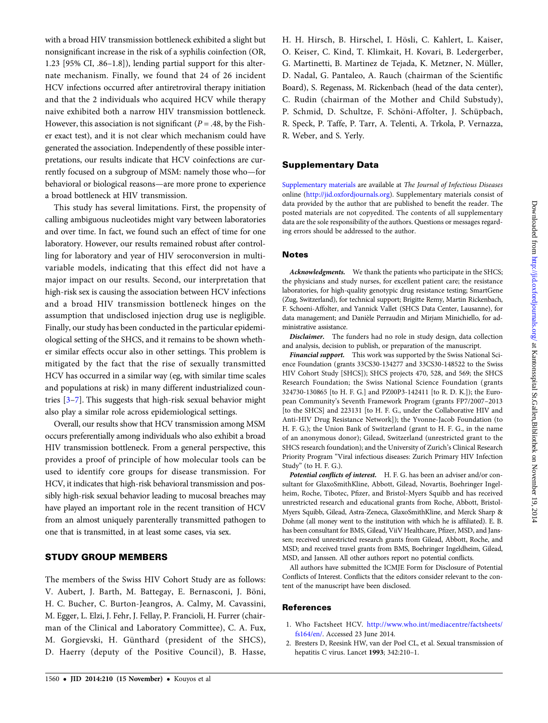<span id="page-5-0"></span>with a broad HIV transmission bottleneck exhibited a slight but nonsignificant increase in the risk of a syphilis coinfection (OR, 1.23 [95% CI, .86–1.8]), lending partial support for this alternate mechanism. Finally, we found that 24 of 26 incident HCV infections occurred after antiretroviral therapy initiation and that the 2 individuals who acquired HCV while therapy naive exhibited both a narrow HIV transmission bottleneck. However, this association is not significant ( $P = .48$ , by the Fisher exact test), and it is not clear which mechanism could have generated the association. Independently of these possible interpretations, our results indicate that HCV coinfections are currently focused on a subgroup of MSM: namely those who—for behavioral or biological reasons—are more prone to experience a broad bottleneck at HIV transmission.

This study has several limitations. First, the propensity of calling ambiguous nucleotides might vary between laboratories and over time. In fact, we found such an effect of time for one laboratory. However, our results remained robust after controlling for laboratory and year of HIV seroconversion in multivariable models, indicating that this effect did not have a major impact on our results. Second, our interpretation that high-risk sex is causing the association between HCV infections and a broad HIV transmission bottleneck hinges on the assumption that undisclosed injection drug use is negligible. Finally, our study has been conducted in the particular epidemiological setting of the SHCS, and it remains to be shown whether similar effects occur also in other settings. This problem is mitigated by the fact that the rise of sexually transmitted HCV has occurred in a similar way (eg, with similar time scales and populations at risk) in many different industrialized countries [[3](#page-6-0)–[7\]](#page-6-0). This suggests that high-risk sexual behavior might also play a similar role across epidemiological settings.

Overall, our results show that HCV transmission among MSM occurs preferentially among individuals who also exhibit a broad HIV transmission bottleneck. From a general perspective, this provides a proof of principle of how molecular tools can be used to identify core groups for disease transmission. For HCV, it indicates that high-risk behavioral transmission and possibly high-risk sexual behavior leading to mucosal breaches may have played an important role in the recent transition of HCV from an almost uniquely parenterally transmitted pathogen to one that is transmitted, in at least some cases, via sex.

# STUDY GROUP MEMBERS

The members of the Swiss HIV Cohort Study are as follows: V. Aubert, J. Barth, M. Battegay, E. Bernasconi, J. Böni, H. C. Bucher, C. Burton-Jeangros, A. Calmy, M. Cavassini, M. Egger, L. Elzi, J. Fehr, J. Fellay, P. Francioli, H. Furrer (chairman of the Clinical and Laboratory Committee), C. A. Fux, M. Gorgievski, H. Günthard (president of the SHCS), D. Haerry (deputy of the Positive Council), B. Hasse,

#### Supplementary Data

[Supplementary materials](http://jid.oxfordjournals.org/lookup/suppl/doi:10.1093/infdis/jiu315/-/DC1) are available at The Journal of Infectious Diseases online (<http://jid.oxfordjournals.org>). Supplementary materials consist of data provided by the author that are published to benefit the reader. The posted materials are not copyedited. The contents of all supplementary data are the sole responsibility of the authors. Questions or messages regarding errors should be addressed to the author.

#### Notes

Acknowledgments. We thank the patients who participate in the SHCS; the physicians and study nurses, for excellent patient care; the resistance laboratories, for high-quality genotypic drug resistance testing; SmartGene (Zug, Switzerland), for technical support; Brigitte Remy, Martin Rickenbach, F. Schoeni-Affolter, and Yannick Vallet (SHCS Data Center, Lausanne), for data management; and Danièle Perraudin and Mirjam Minichiello, for administrative assistance.

Disclaimer. The funders had no role in study design, data collection and analysis, decision to publish, or preparation of the manuscript.

Financial support. This work was supported by the Swiss National Science Foundation (grants 33CS30-134277 and 33CS30-148522 to the Swiss HIV Cohort Study [SHCS]); SHCS projects 470, 528, and 569; the SHCS Research Foundation; the Swiss National Science Foundation (grants 324730-130865 [to H. F. G.] and PZ00P3-142411 [to R. D. K.]); the European Community's Seventh Framework Program (grants FP7/2007–2013 [to the SHCS] and 223131 [to H. F. G., under the Collaborative HIV and Anti-HIV Drug Resistance Network]); the Yvonne-Jacob Foundation (to H. F. G.); the Union Bank of Switzerland (grant to H. F. G., in the name of an anonymous donor); Gilead, Switzerland (unrestricted grant to the SHCS research foundation); and the University of Zurich's Clinical Research Priority Program "Viral infectious diseases: Zurich Primary HIV Infection Study" (to H. F. G.).

Potential conflicts of interest. H. F. G. has been an adviser and/or consultant for GlaxoSmithKline, Abbott, Gilead, Novartis, Boehringer Ingelheim, Roche, Tibotec, Pfizer, and Bristol-Myers Squibb and has received unrestricted research and educational grants from Roche, Abbott, Bristol-Myers Squibb, Gilead, Astra-Zeneca, GlaxoSmithKline, and Merck Sharp & Dohme (all money went to the institution with which he is affiliated). E. B. has been consultant for BMS, Gilead, ViiV Healthcare, Pfizer, MSD, and Janssen; received unrestricted research grants from Gilead, Abbott, Roche, and MSD; and received travel grants from BMS, Boehringer Ingeldheim, Gilead, MSD, and Janssen. All other authors report no potential conflicts.

All authors have submitted the ICMJE Form for Disclosure of Potential Conflicts of Interest. Conflicts that the editors consider relevant to the content of the manuscript have been disclosed.

#### **References**

- 1. Who Factsheet HCV. [http://www.who.int/mediacentre/factsheets/](http://www.who.int/mediacentre/factsheets/fs164/en/) [fs164/en/](http://www.who.int/mediacentre/factsheets/fs164/en/). Accessed 23 June 2014.
- 2. Bresters D, Reesink HW, van der Poel CL, et al. Sexual transmission of hepatitis C virus. Lancet 1993; 342:210–1.